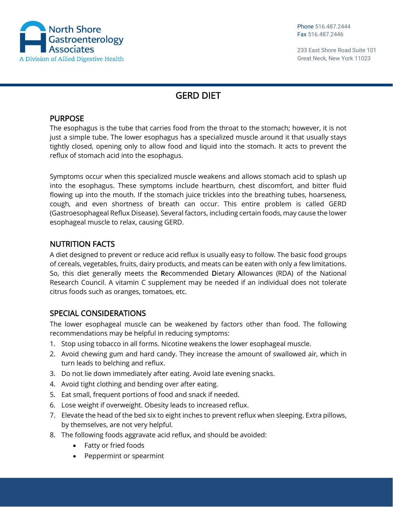

233 East Shore Road Suite 101 Great Neck, New York 11023

## GERD DIET

## PURPOSE

The esophagus is the tube that carries food from the throat to the stomach; however, it is not just a simple tube. The lower esophagus has a specialized muscle around it that usually stays tightly closed, opening only to allow food and liquid into the stomach. It acts to prevent the reflux of stomach acid into the esophagus.

Symptoms occur when this specialized muscle weakens and allows stomach acid to splash up into the esophagus. These symptoms include heartburn, chest discomfort, and bitter fluid flowing up into the mouth. If the stomach juice trickles into the breathing tubes, hoarseness, cough, and even shortness of breath can occur. This entire problem is called GERD (Gastroesophageal Reflux Disease). Several factors, including certain foods, may cause the lower esophageal muscle to relax, causing GERD.

## NUTRITION FACTS

A diet designed to prevent or reduce acid reflux is usually easy to follow. The basic food groups of cereals, vegetables, fruits, dairy products, and meats can be eaten with only a few limitations. So, this diet generally meets the Recommended Dietary Allowances (RDA) of the National Research Council. A vitamin C supplement may be needed if an individual does not tolerate citrus foods such as oranges, tomatoes, etc.

## SPECIAL CONSIDERATIONS

The lower esophageal muscle can be weakened by factors other than food. The following recommendations may be helpful in reducing symptoms:

- 1. Stop using tobacco in all forms. Nicotine weakens the lower esophageal muscle.
- 2. Avoid chewing gum and hard candy. They increase the amount of swallowed air, which in turn leads to belching and reflux.
- 3. Do not lie down immediately after eating. Avoid late evening snacks.
- 4. Avoid tight clothing and bending over after eating.
- 5. Eat small, frequent portions of food and snack if needed.
- 6. Lose weight if overweight. Obesity leads to increased reflux.
- 7. Elevate the head of the bed six to eight inches to prevent reflux when sleeping. Extra pillows, by themselves, are not very helpful.
- 8. The following foods aggravate acid reflux, and should be avoided:
	- Fatty or fried foods
	- Peppermint or spearmint